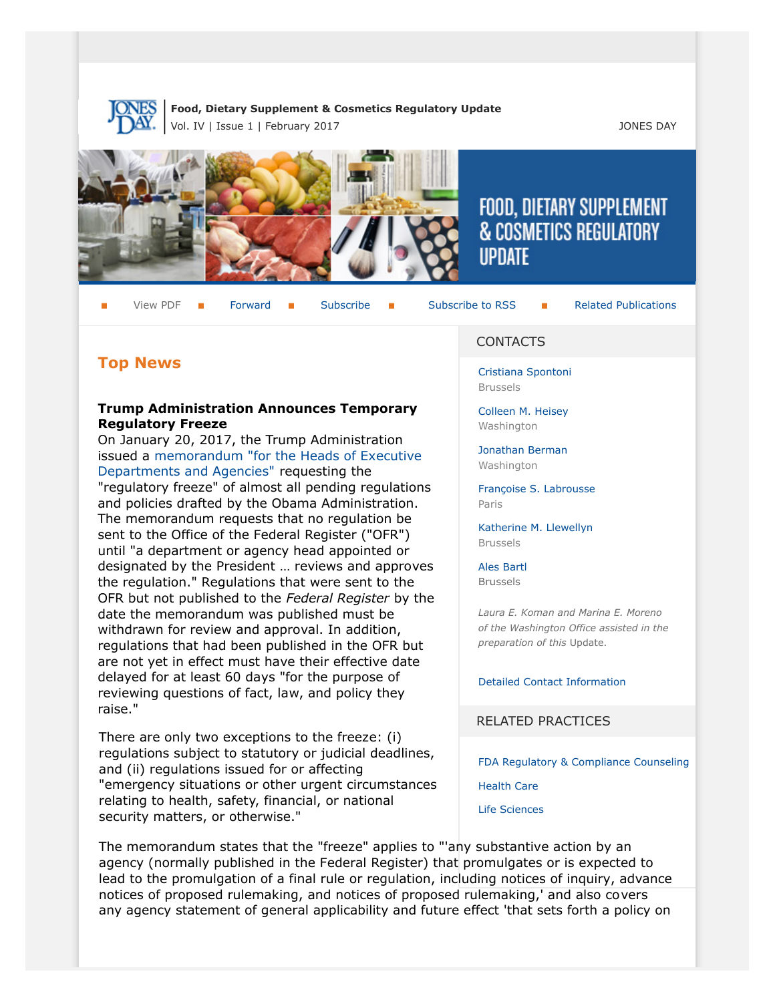

**Food, Dietary Supplement & Cosmetics Regulatory Update** Vol. IV | Issue 1 | February 2017 JONES DAY



# FOOD, DIETARY SUPPLEMENT & COSMETICS REGULATORY **UPDATE**

View PDF **F** [Forward](http://thewritestuff.jonesday.com/cff/52addddd1e0996909a177176334030817a8d2288/) **F** [Subscribe](http://www.jonesday.com/newsknowledge/publications.aspx) **F** [Subscribe to RSS](http://www.jonesday.com/newsknowledge/rss.aspx) **F** [Related Publications](http://www.jonesday.com/experiencepractices/servicedetail.aspx?serviceid=593cb647-a5c4-49c3-9086-fedc34b24e1d§ion=Publications)

# **Top News**

# **Trump Administration Announces Temporary Regulatory Freeze**

On January 20, 2017, the Trump Administration issued a [memorandum "for the Heads of Executive](https://www.whitehouse.gov/the-press-office/2017/01/20/memorandum-heads-executive-departments-and-agencies) [Departments and Agencies"](https://www.whitehouse.gov/the-press-office/2017/01/20/memorandum-heads-executive-departments-and-agencies) requesting the "regulatory freeze" of almost all pending regulations and policies drafted by the Obama Administration. The memorandum requests that no regulation be sent to the Office of the Federal Register ("OFR") until "a department or agency head appointed or designated by the President … reviews and approves the regulation." Regulations that were sent to the OFR but not published to the *Federal Register* by the date the memorandum was published must be withdrawn for review and approval. In addition, regulations that had been published in the OFR but are not yet in effect must have their effective date delayed for at least 60 days "for the purpose of reviewing questions of fact, law, and policy they raise."

There are only two exceptions to the freeze: (i) regulations subject to statutory or judicial deadlines, and (ii) regulations issued for or affecting "emergency situations or other urgent circumstances relating to health, safety, financial, or national security matters, or otherwise."

#### CONTACTS

[Cristiana Spontoni](http://www.jonesday.com/cspontoni) Brussels

[Colleen M. Heisey](http://www.jonesday.com/cmheisey) Washington

[Jonathan Berman](http://www.jonesday.com/jberman) Washington

[Françoise S. Labrousse](http://www.jonesday.com/flabrousse) Paris

[Katherine M. Llewellyn](http://www.jonesday.com/kllewellyn) Brussels

[Ales Bartl](http://www.jonesday.com/abartl/) Brussels

*Laura E. Koman and Marina E. Moreno of the Washington Office assisted in the preparation of this* Update.

[Detailed Contact Information](#page-6-0)

RELATED PRACTICES

[FDA Regulatory & Compliance Counseling](http://www.jonesday.com/fdaregulatoryandcompliancecounseling/)

[Health Care](http://www.jonesday.com/Health-Care-Practices)

[Life Sciences](http://www.jonesday.com/lifesciences/)

The memorandum states that the "freeze" applies to "'any substantive action by an agency (normally published in the Federal Register) that promulgates or is expected to lead to the promulgation of a final rule or regulation, including notices of inquiry, advance notices of proposed rulemaking, and notices of proposed rulemaking,' and also covers any agency statement of general applicability and future effect 'that sets forth a policy on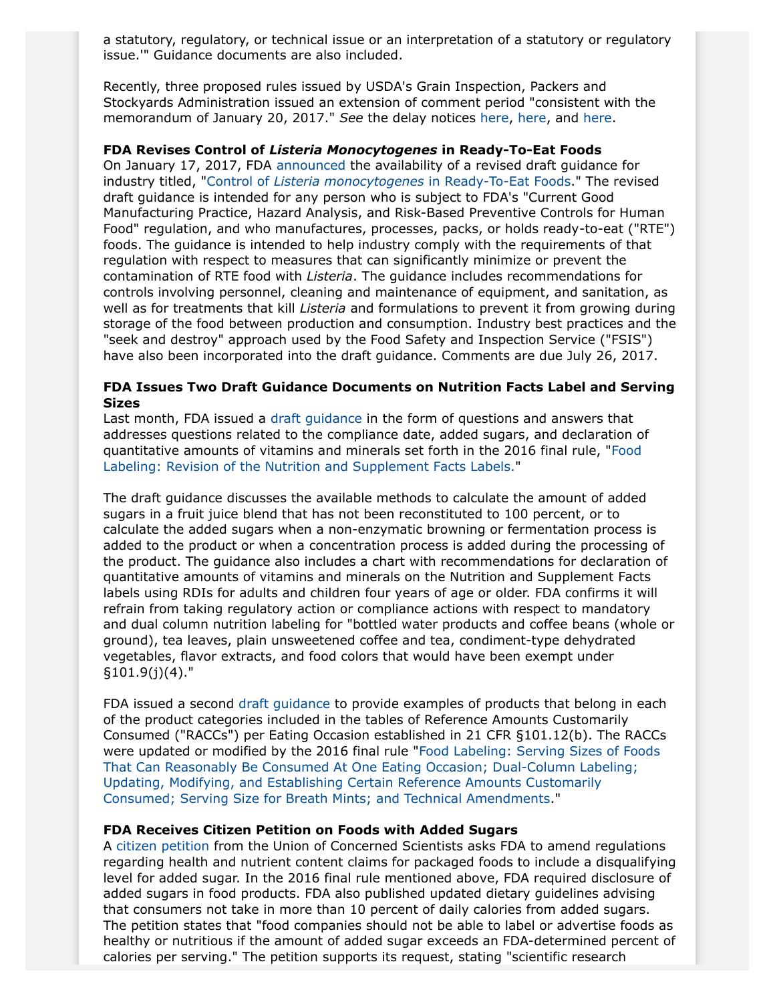a statutory, regulatory, or technical issue or an interpretation of a statutory or regulatory issue.'" Guidance documents are also included.

Recently, three proposed rules issued by USDA's Grain Inspection, Packers and Stockyards Administration issued an extension of comment period "consistent with the memorandum of January 20, 2017." *See* the delay notices [here](https://www.gpo.gov/fdsys/pkg/FR-2017-02-07/pdf/2017-02496.pdf), [here,](https://www.gpo.gov/fdsys/pkg/FR-2017-02-07/pdf/2017-02497.pdf) and [here.](https://www.gpo.gov/fdsys/pkg/FR-2017-02-07/pdf/2017-02495.pdf)

#### **FDA Revises Control of** *Listeria Monocytogenes* **in Ready-To-Eat Foods**

On January 17, 2017, FDA [announced](https://www.gpo.gov/fdsys/pkg/FR-2017-01-17/pdf/2017-00819.pdf) the availability of a revised draft guidance for industry titled, "Control of *[Listeria monocytogenes](http://www.fda.gov/downloads/Food/GuidanceRegulation/GuidanceDocumentsRegulatoryInformation/UCM535981.pdf)* in Ready-To-Eat Foods." The revised draft guidance is intended for any person who is subject to FDA's "Current Good Manufacturing Practice, Hazard Analysis, and Risk-Based Preventive Controls for Human Food" regulation, and who manufactures, processes, packs, or holds ready-to-eat ("RTE") foods. The guidance is intended to help industry comply with the requirements of that regulation with respect to measures that can significantly minimize or prevent the contamination of RTE food with *Listeria*. The guidance includes recommendations for controls involving personnel, cleaning and maintenance of equipment, and sanitation, as well as for treatments that kill *Listeria* and formulations to prevent it from growing during storage of the food between production and consumption. Industry best practices and the "seek and destroy" approach used by the Food Safety and Inspection Service ("FSIS") have also been incorporated into the draft guidance. Comments are due July 26, 2017.

### **FDA Issues Two Draft Guidance Documents on Nutrition Facts Label and Serving Sizes**

Last month, FDA issued a [draft guidance](http://www.fda.gov/downloads/Food/GuidanceRegulation/GuidanceDocumentsRegulatoryInformation/UCM535372.pdf) in the form of questions and answers that addresses questions related to the compliance date, added sugars, and declaration of quantitative amounts of vitamins and minerals set forth in the 2016 final rule, ["Food](https://www.federalregister.gov/documents/2016/05/27/2016-11867/food-labeling-revision-of-the-nutrition-and-supplement-facts-labels) [Labeling: Revision of the Nutrition and Supplement Facts Labels.](https://www.federalregister.gov/documents/2016/05/27/2016-11867/food-labeling-revision-of-the-nutrition-and-supplement-facts-labels)"

The draft guidance discusses the available methods to calculate the amount of added sugars in a fruit juice blend that has not been reconstituted to 100 percent, or to calculate the added sugars when a non-enzymatic browning or fermentation process is added to the product or when a concentration process is added during the processing of the product. The guidance also includes a chart with recommendations for declaration of quantitative amounts of vitamins and minerals on the Nutrition and Supplement Facts labels using RDIs for adults and children four years of age or older. FDA confirms it will refrain from taking regulatory action or compliance actions with respect to mandatory and dual column nutrition labeling for "bottled water products and coffee beans (whole or ground), tea leaves, plain unsweetened coffee and tea, condiment-type dehydrated vegetables, flavor extracts, and food colors that would have been exempt under §101.9(j)(4)."

FDA issued a second [draft guidance](http://www.fda.gov/downloads/Food/GuidanceRegulation/GuidanceDocumentsRegulatoryInformation/UCM535370.pdf) to provide examples of products that belong in each of the product categories included in the tables of Reference Amounts Customarily Consumed ("RACCs") per Eating Occasion established in 21 CFR §101.12(b). The RACCs were updated or modified by the 2016 final rule "[Food Labeling: Serving Sizes of Foods](https://www.gpo.gov/fdsys/pkg/FR-2016-05-27/pdf/2016-11865.pdf) [That Can Reasonably Be Consumed At One Eating Occasion; Dual-Column Labeling;](https://www.gpo.gov/fdsys/pkg/FR-2016-05-27/pdf/2016-11865.pdf) [Updating, Modifying, and Establishing Certain Reference Amounts Customarily](https://www.gpo.gov/fdsys/pkg/FR-2016-05-27/pdf/2016-11865.pdf) [Consumed; Serving Size for Breath Mints; and Technical Amendments.](https://www.gpo.gov/fdsys/pkg/FR-2016-05-27/pdf/2016-11865.pdf)"

## **FDA Receives Citizen Petition on Foods with Added Sugars**

A [citizen petition](https://www.regulations.gov/document?D=FDA-2017-P-0508-0001) from the Union of Concerned Scientists asks FDA to amend regulations regarding health and nutrient content claims for packaged foods to include a disqualifying level for added sugar. In the 2016 final rule mentioned above, FDA required disclosure of added sugars in food products. FDA also published updated dietary guidelines advising that consumers not take in more than 10 percent of daily calories from added sugars. The petition states that "food companies should not be able to label or advertise foods as healthy or nutritious if the amount of added sugar exceeds an FDA-determined percent of calories per serving." The petition supports its request, stating "scientific research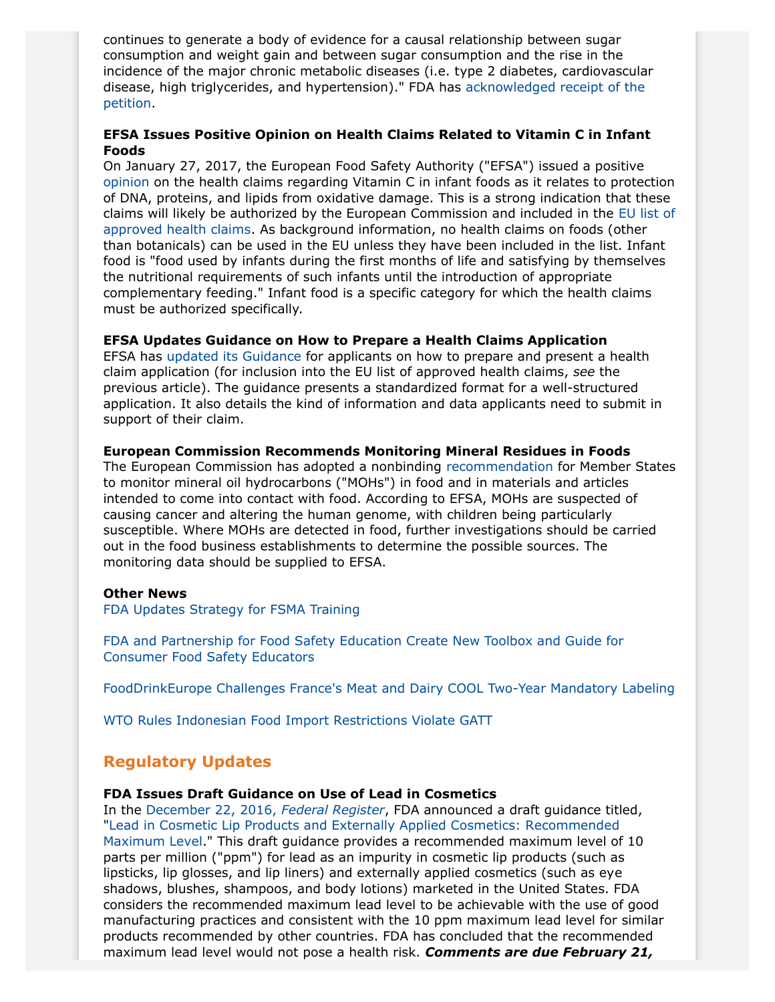continues to generate a body of evidence for a causal relationship between sugar consumption and weight gain and between sugar consumption and the rise in the incidence of the major chronic metabolic diseases (i.e. type 2 diabetes, cardiovascular disease, high triglycerides, and hypertension)." FDA has [acknowledged receipt of the](https://www.regulations.gov/document?D=FDA-2017-P-0508-0002) [petition.](https://www.regulations.gov/document?D=FDA-2017-P-0508-0002)

## **EFSA Issues Positive Opinion on Health Claims Related to Vitamin C in Infant Foods**

On January 27, 2017, the European Food Safety Authority ("EFSA") issued a positive [opinion](http://onlinelibrary.wiley.com/doi/10.2903/j.efsa.2017.4685/pdf) on the health claims regarding Vitamin C in infant foods as it relates to protection of DNA, proteins, and lipids from oxidative damage. This is a strong indication that these claims will likely be authorized by the European Commission and included in the [EU list of](http://ec.europa.eu/food/safety/labelling_nutrition/claims/register/public/?event=register.home) [approved health claims](http://ec.europa.eu/food/safety/labelling_nutrition/claims/register/public/?event=register.home). As background information, no health claims on foods (other than botanicals) can be used in the EU unless they have been included in the list. Infant food is "food used by infants during the first months of life and satisfying by themselves the nutritional requirements of such infants until the introduction of appropriate complementary feeding." Infant food is a specific category for which the health claims must be authorized specifically.

## **EFSA Updates Guidance on How to Prepare a Health Claims Application**

EFSA has [updated its Guidance](https://www.efsa.europa.eu/en/efsajournal/pub/4680) for applicants on how to prepare and present a health claim application (for inclusion into the EU list of approved health claims, *see* the previous article). The guidance presents a standardized format for a well-structured application. It also details the kind of information and data applicants need to submit in support of their claim.

## **European Commission Recommends Monitoring Mineral Residues in Foods**

The European Commission has adopted a nonbinding [recommendation](http://eur-lex.europa.eu/legal-content/EN/TXT/?uri=uriserv:OJ.L_.2017.012.01.0095.01.ENG&toc=OJ:L:2017:012:TOC) for Member States to monitor mineral oil hydrocarbons ("MOHs") in food and in materials and articles intended to come into contact with food. According to EFSA, MOHs are suspected of causing cancer and altering the human genome, with children being particularly susceptible. Where MOHs are detected in food, further investigations should be carried out in the food business establishments to determine the possible sources. The monitoring data should be supplied to EFSA.

#### **Other News**

[FDA Updates Strategy for FSMA Training](http://www.fda.gov/Food/GuidanceRegulation/FSMA/ucm461513.htm?source=govdelivery&utm_medium=email&utm_source=govdelivery)

[FDA and Partnership for Food Safety Education Create New Toolbox and Guide for](http://www.fda.gov/Food/ResourcesForYou/HealthEducators/ucm537438.htm?source=govdelivery&utm_medium=email&utm_source=govdelivery) [Consumer Food Safety Educators](http://www.fda.gov/Food/ResourcesForYou/HealthEducators/ucm537438.htm?source=govdelivery&utm_medium=email&utm_source=govdelivery)

[FoodDrinkEurope Challenges France's Meat and Dairy COOL Two-Year Mandatory Labeling](http://www.globalmeatnews.com/Industry-Markets/Criticism-mounts-for-France-s-COOL-scheme?utm_source=newsletter_daily&utm_medium=email&utm_campaign=06-Jan-2017&c=9b0%2FNwNWp7Fu6EvLSggGSSXIU%2F3ZZru9&p2=)

[WTO Rules Indonesian Food Import Restrictions Violate GATT](https://www.wto.org/english/tratop_e/dispu_e/477_478r_conc_e.pdf)

# **Regulatory Updates**

## **FDA Issues Draft Guidance on Use of Lead in Cosmetics**

In the [December 22, 2016,](https://www.gpo.gov/fdsys/pkg/FR-2016-12-22/pdf/2016-30781.pdf) *Federal Register*, FDA announced a draft guidance titled, ["Lead in Cosmetic Lip Products and Externally Applied Cosmetics: Recommended](http://www.fda.gov/Cosmetics/GuidanceRegulation/GuidanceDocuments/ucm452623.htm) [Maximum Level](http://www.fda.gov/Cosmetics/GuidanceRegulation/GuidanceDocuments/ucm452623.htm)." This draft guidance provides a recommended maximum level of 10 parts per million ("ppm") for lead as an impurity in cosmetic lip products (such as lipsticks, lip glosses, and lip liners) and externally applied cosmetics (such as eye shadows, blushes, shampoos, and body lotions) marketed in the United States. FDA considers the recommended maximum lead level to be achievable with the use of good manufacturing practices and consistent with the 10 ppm maximum lead level for similar products recommended by other countries. FDA has concluded that the recommended maximum lead level would not pose a health risk. *Comments are due February 21,*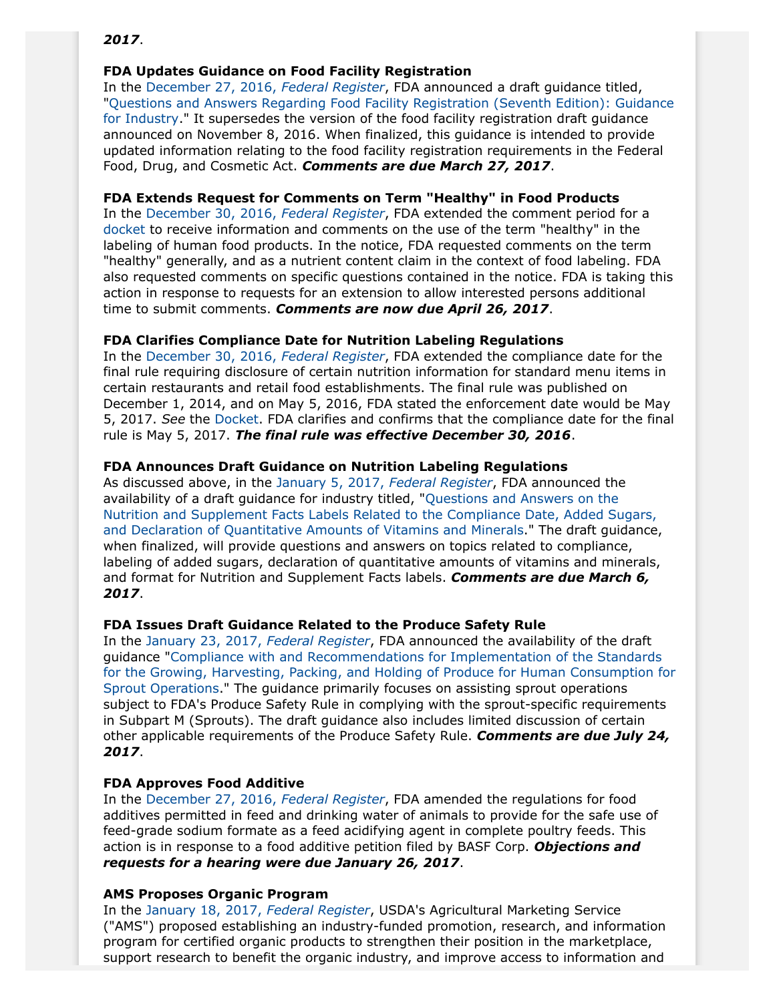## *2017*.

# **FDA Updates Guidance on Food Facility Registration**

In the [December 27, 2016,](https://www.gpo.gov/fdsys/pkg/FR-2016-12-27/pdf/2016-31193.pdf) *Federal Register*, FDA announced a draft guidance titled, ["Questions and Answers Regarding Food Facility Registration \(Seventh Edition\): Guidance](https://www.regulations.gov/docket?D=FDA-2012-D-1002) [for Industry](https://www.regulations.gov/docket?D=FDA-2012-D-1002)." It supersedes the version of the food facility registration draft guidance announced on November 8, 2016. When finalized, this guidance is intended to provide updated information relating to the food facility registration requirements in the Federal Food, Drug, and Cosmetic Act. *Comments are due March 27, 2017*.

# **FDA Extends Request for Comments on Term "Healthy" in Food Products**

In the [December 30, 2016,](https://www.gpo.gov/fdsys/pkg/FR-2016-12-30/pdf/2016-31734.pdf) *Federal Register*, FDA extended the comment period for a [docket](https://www.regulations.gov/docket?D=FDA-2016-D-2335) to receive information and comments on the use of the term "healthy" in the labeling of human food products. In the notice, FDA requested comments on the term "healthy" generally, and as a nutrient content claim in the context of food labeling. FDA also requested comments on specific questions contained in the notice. FDA is taking this action in response to requests for an extension to allow interested persons additional time to submit comments. *Comments are now due April 26, 2017*.

# **FDA Clarifies Compliance Date for Nutrition Labeling Regulations**

In the [December 30, 2016,](https://www.gpo.gov/fdsys/pkg/FR-2016-12-30/pdf/2016-31597.pdf) *Federal Register*, FDA extended the compliance date for the final rule requiring disclosure of certain nutrition information for standard menu items in certain restaurants and retail food establishments. The final rule was published on December 1, 2014, and on May 5, 2016, FDA stated the enforcement date would be May 5, 2017. *See* the [Docket](https://www.regulations.gov/docket?D=FDA-2011-F-0172). FDA clarifies and confirms that the compliance date for the final rule is May 5, 2017. *The final rule was effective December 30, 2016*.

# **FDA Announces Draft Guidance on Nutrition Labeling Regulations**

As discussed above, in the [January 5, 2017,](https://www.gpo.gov/fdsys/pkg/FR-2017-01-05/pdf/2016-32005.pdf) *Federal Register*, FDA announced the availability of a draft guidance for industry titled, "[Questions and Answers on the](https://www.regulations.gov/document?D=FDA-2016-D-4414-0002) [Nutrition and Supplement Facts Labels Related to the Compliance Date, Added Sugars,](https://www.regulations.gov/document?D=FDA-2016-D-4414-0002) [and Declaration of Quantitative Amounts of Vitamins and Minerals.](https://www.regulations.gov/document?D=FDA-2016-D-4414-0002)" The draft guidance, when finalized, will provide questions and answers on topics related to compliance, labeling of added sugars, declaration of quantitative amounts of vitamins and minerals, and format for Nutrition and Supplement Facts labels. *Comments are due March 6, 2017*.

## **FDA Issues Draft Guidance Related to the Produce Safety Rule**

In the [January 23, 2017,](https://www.gpo.gov/fdsys/pkg/FR-2017-01-23/pdf/2017-01128.pdf) *Federal Register*, FDA announced the availability of the draft guidance "[Compliance with and Recommendations for Implementation of the Standards](http://www.fda.gov/downloads/Food/GuidanceRegulation/GuidanceDocumentsRegulatoryInformation/UCM537031.pdf) [for the Growing, Harvesting, Packing, and Holding of Produce for Human Consumption for](http://www.fda.gov/downloads/Food/GuidanceRegulation/GuidanceDocumentsRegulatoryInformation/UCM537031.pdf) [Sprout Operations](http://www.fda.gov/downloads/Food/GuidanceRegulation/GuidanceDocumentsRegulatoryInformation/UCM537031.pdf)." The guidance primarily focuses on assisting sprout operations subject to FDA's Produce Safety Rule in complying with the sprout-specific requirements in Subpart M (Sprouts). The draft guidance also includes limited discussion of certain other applicable requirements of the Produce Safety Rule. *Comments are due July 24, 2017*.

# **FDA Approves Food Additive**

In the [December 27, 2016,](https://www.gpo.gov/fdsys/pkg/FR-2016-12-27/pdf/2016-31079.pdf) *Federal Register*, FDA amended the regulations for food additives permitted in feed and drinking water of animals to provide for the safe use of feed-grade sodium formate as a feed acidifying agent in complete poultry feeds. This action is in response to a food additive petition filed by BASF Corp. *Objections and requests for a hearing were due January 26, 2017*.

## **AMS Proposes Organic Program**

In the [January 18, 2017,](https://www.gpo.gov/fdsys/pkg/FR-2017-01-18/pdf/2017-00601.pdf) *Federal Register*, USDA's Agricultural Marketing Service ("AMS") proposed establishing an industry-funded promotion, research, and information program for certified organic products to strengthen their position in the marketplace, support research to benefit the organic industry, and improve access to information and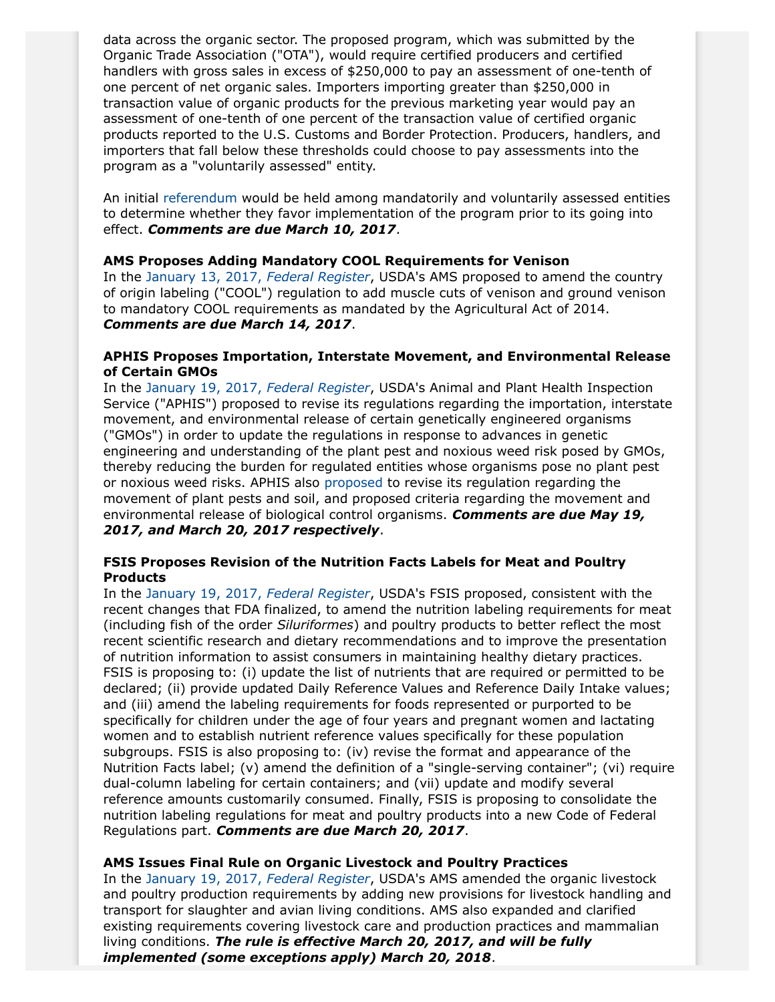data across the organic sector. The proposed program, which was submitted by the Organic Trade Association ("OTA"), would require certified producers and certified handlers with gross sales in excess of \$250,000 to pay an assessment of one-tenth of one percent of net organic sales. Importers importing greater than \$250,000 in transaction value of organic products for the previous marketing year would pay an assessment of one-tenth of one percent of the transaction value of certified organic products reported to the U.S. Customs and Border Protection. Producers, handlers, and importers that fall below these thresholds could choose to pay assessments into the program as a "voluntarily assessed" entity.

An initial [referendum](https://www.gpo.gov/fdsys/pkg/FR-2017-01-18/pdf/2017-00599.pdf) would be held among mandatorily and voluntarily assessed entities to determine whether they favor implementation of the program prior to its going into effect. *Comments are due March 10, 2017*.

# **AMS Proposes Adding Mandatory COOL Requirements for Venison**

In the [January 13, 2017,](https://www.gpo.gov/fdsys/pkg/FR-2017-01-13/pdf/2017-00588.pdf) *Federal Register*, USDA's AMS proposed to amend the country of origin labeling ("COOL") regulation to add muscle cuts of venison and ground venison to mandatory COOL requirements as mandated by the Agricultural Act of 2014. *Comments are due March 14, 2017*.

## **APHIS Proposes Importation, Interstate Movement, and Environmental Release of Certain GMOs**

In the [January 19, 2017,](https://www.gpo.gov/fdsys/pkg/FR-2017-01-19/pdf/2017-00858.pdf) *Federal Register*, USDA's Animal and Plant Health Inspection Service ("APHIS") proposed to revise its regulations regarding the importation, interstate movement, and environmental release of certain genetically engineered organisms ("GMOs") in order to update the regulations in response to advances in genetic engineering and understanding of the plant pest and noxious weed risk posed by GMOs, thereby reducing the burden for regulated entities whose organisms pose no plant pest or noxious weed risks. APHIS also [proposed](https://www.gpo.gov/fdsys/pkg/FR-2017-01-19/pdf/2017-00532.pdf) to revise its regulation regarding the movement of plant pests and soil, and proposed criteria regarding the movement and environmental release of biological control organisms. *Comments are due May 19, 2017, and March 20, 2017 respectively*.

## **FSIS Proposes Revision of the Nutrition Facts Labels for Meat and Poultry Products**

In the [January 19, 2017,](https://www.gpo.gov/fdsys/pkg/FR-2017-01-19/pdf/2016-29272.pdf) *Federal Register*, USDA's FSIS proposed, consistent with the recent changes that FDA finalized, to amend the nutrition labeling requirements for meat (including fish of the order *Siluriformes*) and poultry products to better reflect the most recent scientific research and dietary recommendations and to improve the presentation of nutrition information to assist consumers in maintaining healthy dietary practices. FSIS is proposing to: (i) update the list of nutrients that are required or permitted to be declared; (ii) provide updated Daily Reference Values and Reference Daily Intake values; and (iii) amend the labeling requirements for foods represented or purported to be specifically for children under the age of four years and pregnant women and lactating women and to establish nutrient reference values specifically for these population subgroups. FSIS is also proposing to: (iv) revise the format and appearance of the Nutrition Facts label; (v) amend the definition of a "single-serving container"; (vi) require dual-column labeling for certain containers; and (vii) update and modify several reference amounts customarily consumed. Finally, FSIS is proposing to consolidate the nutrition labeling regulations for meat and poultry products into a new Code of Federal Regulations part. *Comments are due March 20, 2017*.

## **AMS Issues Final Rule on Organic Livestock and Poultry Practices**

In the [January 19, 2017,](https://www.gpo.gov/fdsys/pkg/FR-2017-01-19/pdf/2017-00888.pdf) *Federal Register*, USDA's AMS amended the organic livestock and poultry production requirements by adding new provisions for livestock handling and transport for slaughter and avian living conditions. AMS also expanded and clarified existing requirements covering livestock care and production practices and mammalian living conditions. *The rule is effective March 20, 2017, and will be fully implemented (some exceptions apply) March 20, 2018*.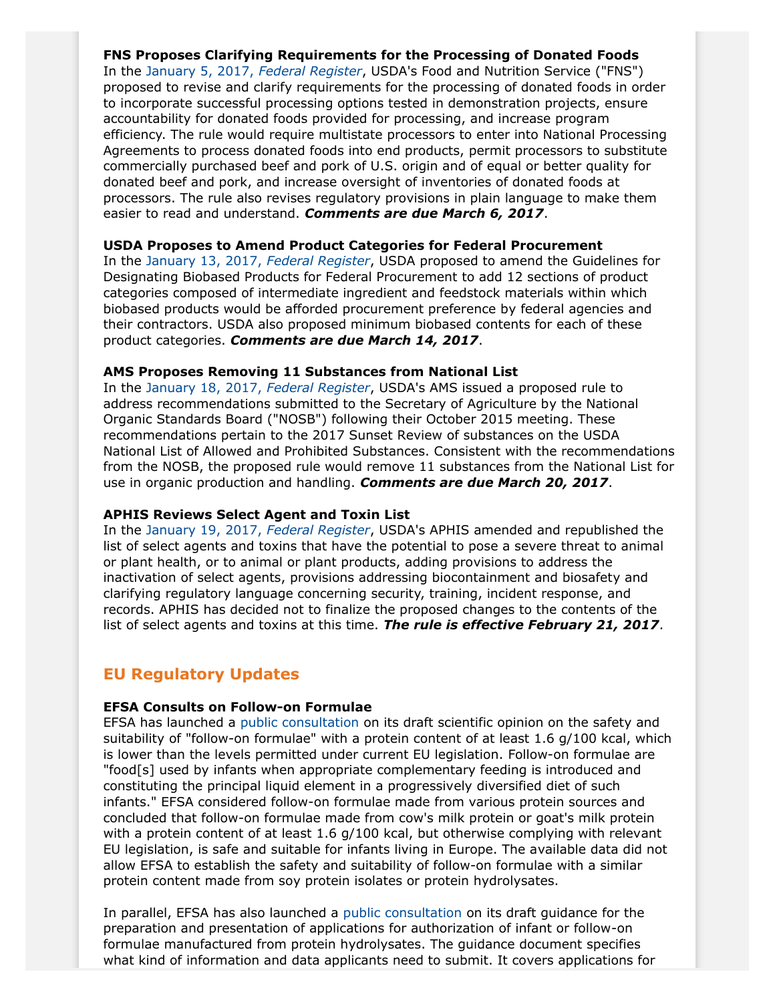## **FNS Proposes Clarifying Requirements for the Processing of Donated Foods**

In the [January 5, 2017,](https://www.gpo.gov/fdsys/pkg/FR-2017-01-05/pdf/2016-31561.pdf) *Federal Register*, USDA's Food and Nutrition Service ("FNS") proposed to revise and clarify requirements for the processing of donated foods in order to incorporate successful processing options tested in demonstration projects, ensure accountability for donated foods provided for processing, and increase program efficiency. The rule would require multistate processors to enter into National Processing Agreements to process donated foods into end products, permit processors to substitute commercially purchased beef and pork of U.S. origin and of equal or better quality for donated beef and pork, and increase oversight of inventories of donated foods at processors. The rule also revises regulatory provisions in plain language to make them easier to read and understand. *Comments are due March 6, 2017*.

## **USDA Proposes to Amend Product Categories for Federal Procurement**

In the [January 13, 2017,](https://www.gpo.gov/fdsys/pkg/FR-2017-01-13/pdf/2016-31128.pdf) *Federal Register*, USDA proposed to amend the Guidelines for Designating Biobased Products for Federal Procurement to add 12 sections of product categories composed of intermediate ingredient and feedstock materials within which biobased products would be afforded procurement preference by federal agencies and their contractors. USDA also proposed minimum biobased contents for each of these product categories. *Comments are due March 14, 2017*.

## **AMS Proposes Removing 11 Substances from National List**

In the [January 18, 2017,](https://www.gpo.gov/fdsys/pkg/FR-2017-01-18/pdf/2017-00586.pdf) *Federal Register*, USDA's AMS issued a proposed rule to address recommendations submitted to the Secretary of Agriculture by the National Organic Standards Board ("NOSB") following their October 2015 meeting. These recommendations pertain to the 2017 Sunset Review of substances on the USDA National List of Allowed and Prohibited Substances. Consistent with the recommendations from the NOSB, the proposed rule would remove 11 substances from the National List for use in organic production and handling. *Comments are due March 20, 2017*.

## **APHIS Reviews Select Agent and Toxin List**

In the [January 19, 2017,](https://www.gpo.gov/fdsys/pkg/FR-2017-01-19/pdf/2017-00857.pdf) *Federal Register*, USDA's APHIS amended and republished the list of select agents and toxins that have the potential to pose a severe threat to animal or plant health, or to animal or plant products, adding provisions to address the inactivation of select agents, provisions addressing biocontainment and biosafety and clarifying regulatory language concerning security, training, incident response, and records. APHIS has decided not to finalize the proposed changes to the contents of the list of select agents and toxins at this time. *The rule is effective February 21, 2017*.

# **EU Regulatory Updates**

## **EFSA Consults on Follow-on Formulae**

EFSA has launched a [public consultation](https://www.efsa.europa.eu/en/consultations/call/170113-1) on its draft scientific opinion on the safety and suitability of "follow-on formulae" with a protein content of at least 1.6 g/100 kcal, which is lower than the levels permitted under current EU legislation. Follow-on formulae are "food[s] used by infants when appropriate complementary feeding is introduced and constituting the principal liquid element in a progressively diversified diet of such infants." EFSA considered follow-on formulae made from various protein sources and concluded that follow-on formulae made from cow's milk protein or goat's milk protein with a protein content of at least 1.6 g/100 kcal, but otherwise complying with relevant EU legislation, is safe and suitable for infants living in Europe. The available data did not allow EFSA to establish the safety and suitability of follow-on formulae with a similar protein content made from soy protein isolates or protein hydrolysates.

In parallel, EFSA has also launched a [public consultation](https://www.efsa.europa.eu/en/consultations/call/170113-0) on its draft guidance for the preparation and presentation of applications for authorization of infant or follow-on formulae manufactured from protein hydrolysates. The guidance document specifies what kind of information and data applicants need to submit. It covers applications for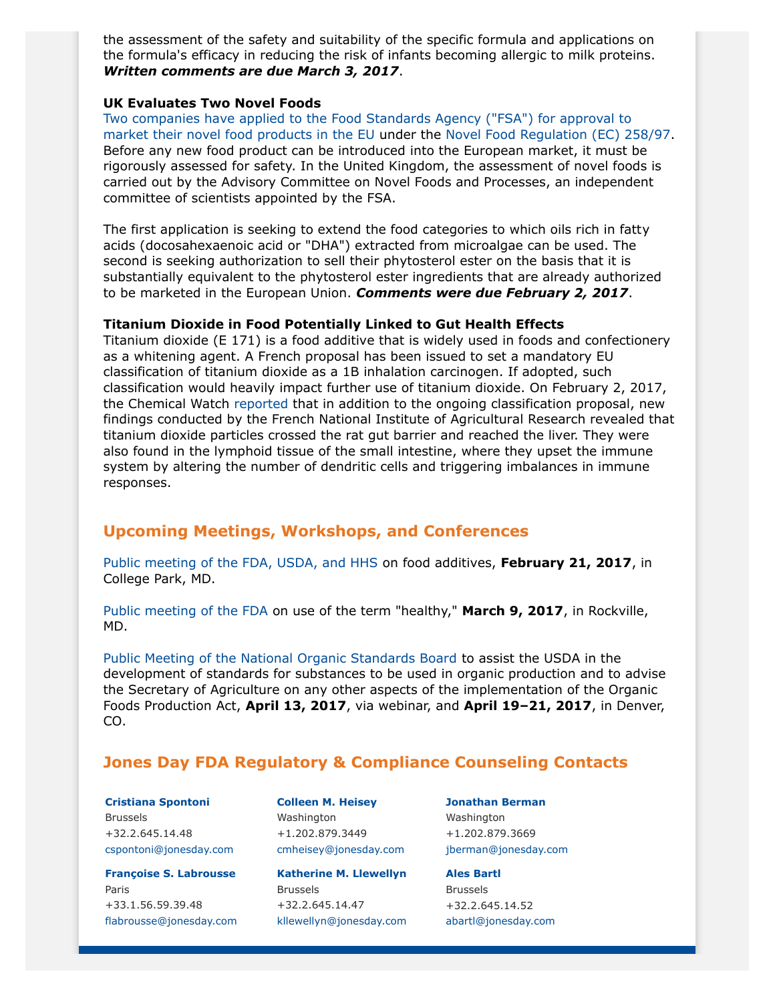the assessment of the safety and suitability of the specific formula and applications on the formula's efficacy in reducing the risk of infants becoming allergic to milk proteins. *Written comments are due March 3, 2017*.

#### **UK Evaluates Two Novel Foods**

[Two companies have applied to the Food Standards Agency \("FSA"\) for approval to](https://acnfp.food.gov.uk/news-updates/news/2017/15874/views-wanted-on-two-novel-food-applications-by-2-february-2017) [market their novel food products in the EU](https://acnfp.food.gov.uk/news-updates/news/2017/15874/views-wanted-on-two-novel-food-applications-by-2-february-2017) under the [Novel Food Regulation \(EC\) 258/97.](http://eur-lex.europa.eu/legal-content/EN/TXT/?qid=1484577391333&uri=CELEX:01997R0258-20090807) Before any new food product can be introduced into the European market, it must be rigorously assessed for safety. In the United Kingdom, the assessment of novel foods is carried out by the Advisory Committee on Novel Foods and Processes, an independent committee of scientists appointed by the FSA.

The first application is seeking to extend the food categories to which oils rich in fatty acids (docosahexaenoic acid or "DHA") extracted from microalgae can be used. The second is seeking authorization to sell their phytosterol ester on the basis that it is substantially equivalent to the phytosterol ester ingredients that are already authorized to be marketed in the European Union. *Comments were due February 2, 2017*.

#### **Titanium Dioxide in Food Potentially Linked to Gut Health Effects**

Titanium dioxide (E 171) is a food additive that is widely used in foods and confectionery as a whitening agent. A French proposal has been issued to set a mandatory EU classification of titanium dioxide as a 1B inhalation carcinogen. If adopted, such classification would heavily impact further use of titanium dioxide. On February 2, 2017, the Chemical Watch [reported](https://chemicalwatch.com/52374/titanium-dioxide-in-food-linked-to-gut-health-effects) that in addition to the ongoing classification proposal, new findings conducted by the French National Institute of Agricultural Research revealed that titanium dioxide particles crossed the rat gut barrier and reached the liver. They were also found in the lymphoid tissue of the small intestine, where they upset the immune system by altering the number of dendritic cells and triggering imbalances in immune responses.

# **Upcoming Meetings, Workshops, and Conferences**

[Public meeting of the FDA, USDA, and HHS](https://www.gpo.gov/fdsys/pkg/FR-2017-01-19/pdf/2017-01108.pdf) on food additives, **February 21, 2017**, in College Park, MD.

[Public meeting of the FDA](https://s3.amazonaws.com/public-inspection.federalregister.gov/2017-03117.pdf) on use of the term "healthy," **March 9, 2017**, in Rockville, MD.

[Public Meeting of the National Organic Standards Board](https://www.gpo.gov/fdsys/pkg/FR-2016-11-25/pdf/2016-28383.pdf) to assist the USDA in the development of standards for substances to be used in organic production and to advise the Secretary of Agriculture on any other aspects of the implementation of the Organic Foods Production Act, **April 13, 2017**, via webinar, and **April 19–21, 2017**, in Denver, CO.

# <span id="page-6-0"></span>**Jones Day FDA Regulatory & Compliance Counseling Contacts**

**[Cristiana Spontoni](http://www.jonesday.com/cspontoni)** Brussels +32.2.645.14.48 [cspontoni@jonesday.com](mailto:cspontoni@jonesday.com)

**[Françoise S. Labrousse](http://www.jonesday.com/flabrousse)** Paris +33.1.56.59.39.48 [flabrousse@jonesday.com](mailto:flabrousse@jonesday.com) **[Colleen M. Heisey](http://www.jonesday.com/cmheisey)** Washington +1.202.879.3449 [cmheisey@jonesday.com](mailto:cmheisey@jonesday.com)

**[Katherine M. Llewellyn](http://www.jonesday.com/kllewellyn)** Brussels +32.2.645.14.47 [kllewellyn@jonesday.com](mailto:kllewellyn@jonesday.com) **[Jonathan Berman](http://www.jonesday.com/jberman)** Washington +1.202.879.3669 [jberman@jonesday.com](mailto:jberman@jonesday.com)

**Ales [Bartl](http://www.jonesday.com/abartl)** Brussels +32.2.645.14.52 [abartl@jonesday.com](mailto:abartl@jonesday.com)